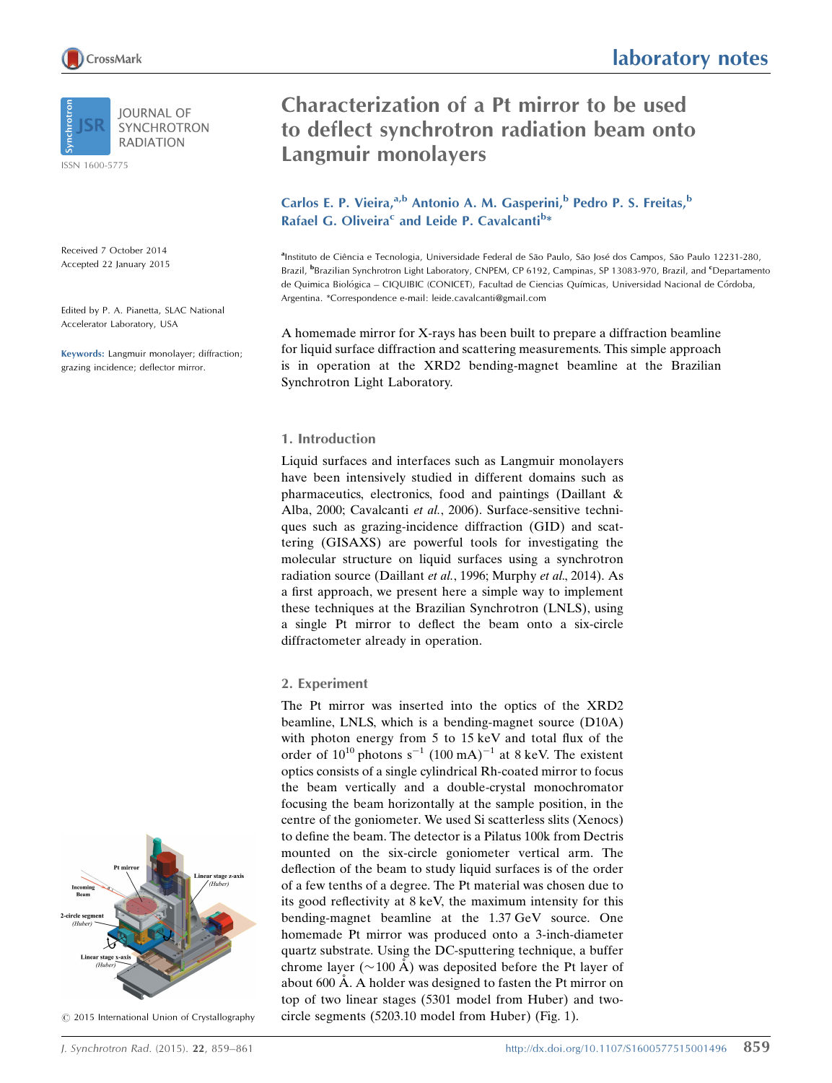ISSN 1600-5775

Received 7 October 2014 Accepted 22 January 2015

Edited by P. A. Pianetta, SLAC National Accelerator Laboratory, USA

Keywords: Langmuir monolayer; diffraction; grazing incidence; deflector mirror.

# laboratory notes

## Characterization of a Pt mirror to be used to deflect synchrotron radiation beam onto Langmuir monolayers

Carlos E. P. Vieira,<sup>a,b</sup> Antonio A. M. Gasperini,<sup>b</sup> Pedro P. S. Freitas,<sup>b</sup> Rafael G. Oliveira<sup>c</sup> and Leide P. Cavalcanti<sup>b\*</sup>

alnstituto de Ciência e Tecnologia, Universidade Federal de São Paulo, São José dos Campos, São Paulo 12231-280, Brazil, <sup>b</sup>Brazilian Synchrotron Light Laboratory, CNPEM, CP 6192, Campinas, SP 13083-970, Brazil, and <sup>c</sup>Departamento de Quimica Biológica – CIQUIBIC (CONICET), Facultad de Ciencias Químicas, Universidad Nacional de Córdoba, Argentina. \*Correspondence e-mail: leide.cavalcanti@gmail.com

A homemade mirror for X-rays has been built to prepare a diffraction beamline for liquid surface diffraction and scattering measurements. This simple approach is in operation at the XRD2 bending-magnet beamline at the Brazilian Synchrotron Light Laboratory.

#### 1. Introduction

Liquid surfaces and interfaces such as Langmuir monolayers have been intensively studied in different domains such as pharmaceutics, electronics, food and paintings (Daillant & Alba, 2000; Cavalcanti et al., 2006). Surface-sensitive techniques such as grazing-incidence diffraction (GID) and scattering (GISAXS) are powerful tools for investigating the molecular structure on liquid surfaces using a synchrotron radiation source (Daillant et al., 1996; Murphy et al., 2014). As a first approach, we present here a simple way to implement these techniques at the Brazilian Synchrotron (LNLS), using a single Pt mirror to deflect the beam onto a six-circle diffractometer already in operation.

#### 2. Experiment

The Pt mirror was inserted into the optics of the XRD2 beamline, LNLS, which is a bending-magnet source (D10A) with photon energy from 5 to 15 keV and total flux of the order of  $10^{10}$  photons s<sup>-1</sup> (100 mA)<sup>-1</sup> at 8 keV. The existent optics consists of a single cylindrical Rh-coated mirror to focus the beam vertically and a double-crystal monochromator focusing the beam horizontally at the sample position, in the centre of the goniometer. We used Si scatterless slits (Xenocs) to define the beam. The detector is a Pilatus 100k from Dectris mounted on the six-circle goniometer vertical arm. The deflection of the beam to study liquid surfaces is of the order of a few tenths of a degree. The Pt material was chosen due to its good reflectivity at 8 keV, the maximum intensity for this bending-magnet beamline at the 1.37 GeV source. One homemade Pt mirror was produced onto a 3-inch-diameter quartz substrate. Using the DC-sputtering technique, a buffer chrome layer ( $\sim$ 100 Å) was deposited before the Pt layer of about 600 Å. A holder was designed to fasten the Pt mirror on top of two linear stages (5301 model from Huber) and twocircle segments (5203.10 model from Huber) (Fig. 1).



 $©$  2015 International Union of Crystallography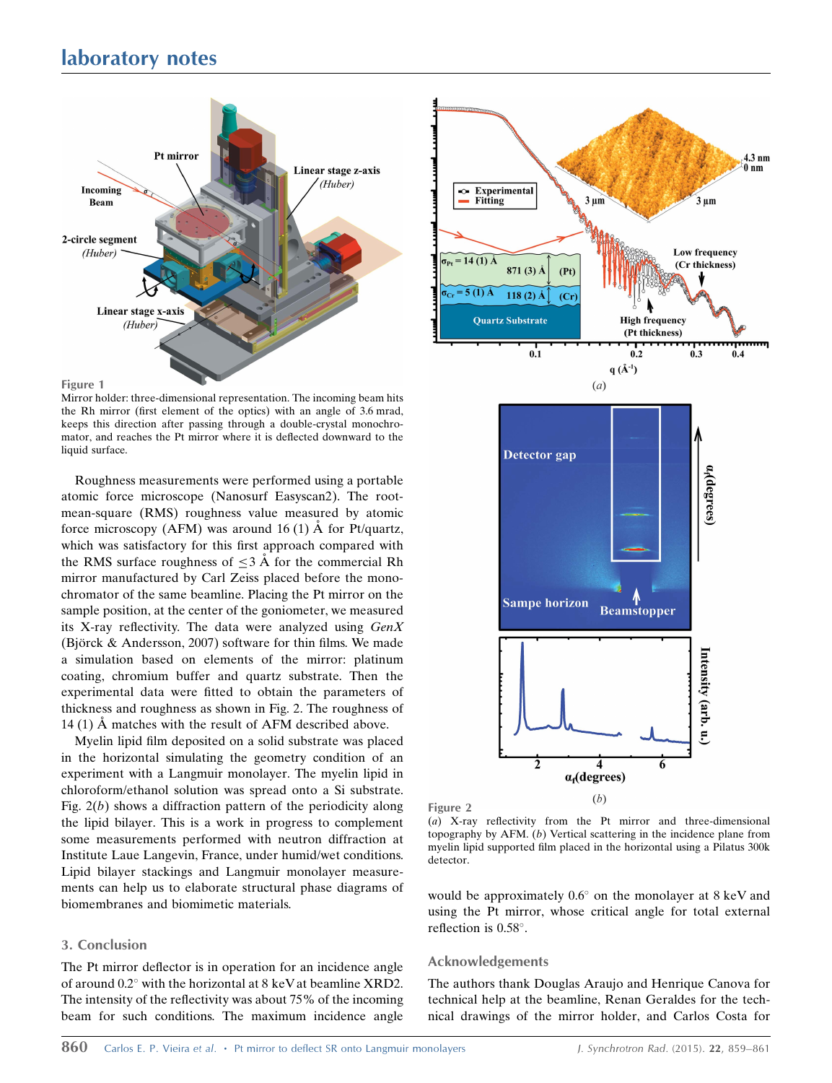### laboratory notes





Mirror holder: three-dimensional representation. The incoming beam hits the Rh mirror (first element of the optics) with an angle of 3.6 mrad, keeps this direction after passing through a double-crystal monochromator, and reaches the Pt mirror where it is deflected downward to the liquid surface.

Roughness measurements were performed using a portable atomic force microscope (Nanosurf Easyscan2). The rootmean-square (RMS) roughness value measured by atomic force microscopy (AFM) was around 16 (1)  $\AA$  for Pt/quartz, which was satisfactory for this first approach compared with the RMS surface roughness of  $\leq$  3 Å for the commercial Rh mirror manufactured by Carl Zeiss placed before the monochromator of the same beamline. Placing the Pt mirror on the sample position, at the center of the goniometer, we measured its X-ray reflectivity. The data were analyzed using GenX (Björck  $&$  Andersson, 2007) software for thin films. We made a simulation based on elements of the mirror: platinum coating, chromium buffer and quartz substrate. Then the experimental data were fitted to obtain the parameters of thickness and roughness as shown in Fig. 2. The roughness of 14 (1)  $\dot{A}$  matches with the result of AFM described above.

Myelin lipid film deposited on a solid substrate was placed in the horizontal simulating the geometry condition of an experiment with a Langmuir monolayer. The myelin lipid in chloroform/ethanol solution was spread onto a Si substrate. Fig.  $2(b)$  shows a diffraction pattern of the periodicity along the lipid bilayer. This is a work in progress to complement some measurements performed with neutron diffraction at Institute Laue Langevin, France, under humid/wet conditions. Lipid bilayer stackings and Langmuir monolayer measurements can help us to elaborate structural phase diagrams of biomembranes and biomimetic materials.

#### 3. Conclusion

The Pt mirror deflector is in operation for an incidence angle of around  $0.2^{\circ}$  with the horizontal at 8 keV at beamline XRD2. The intensity of the reflectivity was about 75% of the incoming beam for such conditions. The maximum incidence angle



Figure 2

(a) X-ray reflectivity from the Pt mirror and three-dimensional topography by AFM. (b) Vertical scattering in the incidence plane from myelin lipid supported film placed in the horizontal using a Pilatus 300k detector.

would be approximately  $0.6^{\circ}$  on the monolayer at 8 keV and using the Pt mirror, whose critical angle for total external reflection is 0.58°.

#### Acknowledgements

The authors thank Douglas Araujo and Henrique Canova for technical help at the beamline, Renan Geraldes for the technical drawings of the mirror holder, and Carlos Costa for